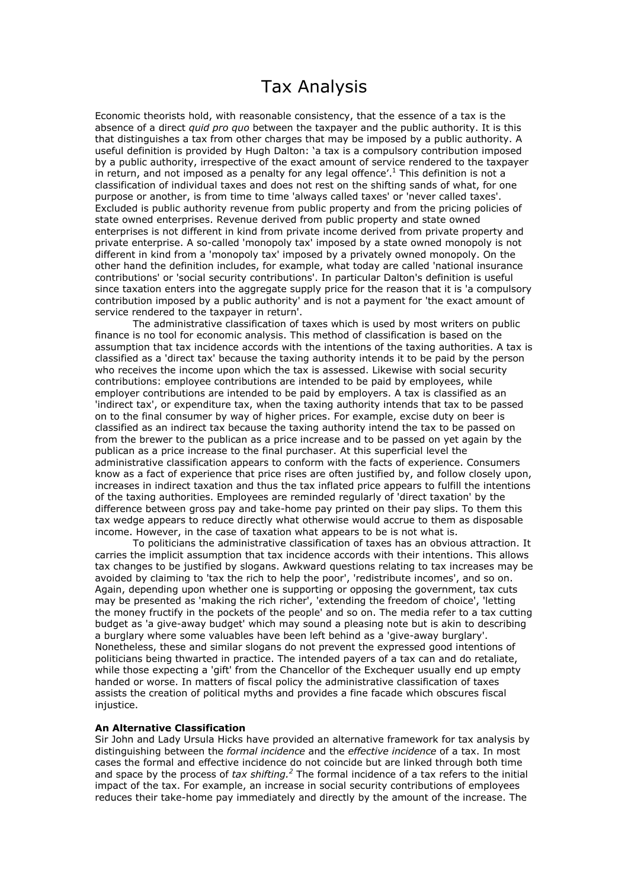## Tax Analysis

Economic theorists hold, with reasonable consistency, that the essence of a tax is the absence of a direct *quid pro quo* between the taxpayer and the public authority. It is this that distinguishes a tax from other charges that may be imposed by a public authority. A useful definition is provided by Hugh Dalton: 'a tax is a compulsory contribution imposed by a public authority, irrespective of the exact amount of service rendered to the taxpayer in return, and not imposed as a penalty for any legal offence'.<sup>1</sup> This definition is not a classification of individual taxes and does not rest on the shifting sands of what, for one purpose or another, is from time to time 'always called taxes' or 'never called taxes'. Excluded is public authority revenue from public property and from the pricing policies of state owned enterprises. Eevenue derived from public property and state owned enterprises is not different in kind from private income derived from private property and private enterprise. A so-called 'monopoly tax' imposed by a state owned monopoly is not different in kind from a 'monopoly tax' imposed by a privately owned monopoly. On the other hand the definition includes, for example, what today are called 'national insurance contributions' or 'social security contributions'. In particular Dalton's definition is useful since taxation enters into the aggregate supply price for the reason that it is 'a compulsory contribution imposed by a public authority' and is not a payment for 'the exact amount of service rendered to the taxpayer in return'.

The administrative classification of taxes which is used by most writers on public finance is no tool for economic analysis. This method of classification is based on the assumption that tax incidence accords with the intentions of the taxing authorities. A tax is classified as a 'direct tax' because the taxing authority intends it to be paid by the person who receives the income upon which the tax is assessed. Iikewise with social security contributions: employee contributions are intended to be paid by employees, while employer contributions are intended to be paid by employers. A tax is classified as an 'indirect tax', or expenditure tax, when the taxing authority intends that tax to be passed on to the final consumer by way of higher prices. For example, excise duty on beer is classified as an indirect tax because the taxing authority intend the tax to be passed on from the brewer to the publican as a price increase and to be passed on yet again by the publican as a price increase to the final purchaser. At this superficial level the administrative classification appears to conform with the facts of experience. Consumers know as a fact of experience that price rises are often justified by, and follow closely upon, increases in indirect taxation and thus the tax inflated price appears to fulfill the intentions of the taxing authorities. Employees are reminded regularly of 'direct taxation' by the difference between gross pay and take-home pay printed on their pay slips. To them this tax wedge appears to reduce directly what otherwise would accrue to them as disposable income. However, in the case of taxation what appears to be is not what is.

To politicians the administrative classification of taxes has an obvious attraction. It carries the implicit assumption that tax incidence accords with their intentions. This allows tax changes to be justified by slogans. Awkward questions relating to tax increases may be avoided by claiming to 'tax the rich to help the poor', 'redistribute incomes', and so on. Again, depending upon whether one is supporting or opposing the government, tax cuts may be presented as 'making the rich richer', 'extending the freedom of choice', 'letting the money fructify in the pockets of the people' and so on. The media refer to a tax cutting budget as 'a give-away budget' which may sound a pleasing note but is akin to describing a burglary where some valuables have been left behind as a 'give-away burglary'. Nonetheless, these and similar slogans do not prevent the expressed good intentions of politicians being thwarted in practice. The intended payers of a tax can and do retaliate, while those expecting a 'gift' from the Chancellor of the Exchequer usually end up empty handed or worse. In matters of fiscal policy the administrative classification of taxes assists the creation of political myths and provides a fine facade which obscures fiscal injustice.

## **An Alternative Classification**

Sir John and Lady Ursula Hicks have provided an alternative framework for tax analysis by distinguishing between the *formal incidence* and the *effective incidence* of a tax. In most cases the formal and effective incidence do not coincide but are linked through both time and space by the process of *tax shifting.<sup>2</sup>* The formal incidence of a tax refers to the initial impact of the tax. For example, an increase in social security contributions of employees reduces their take-home pay immediately and directly by the amount of the increase. The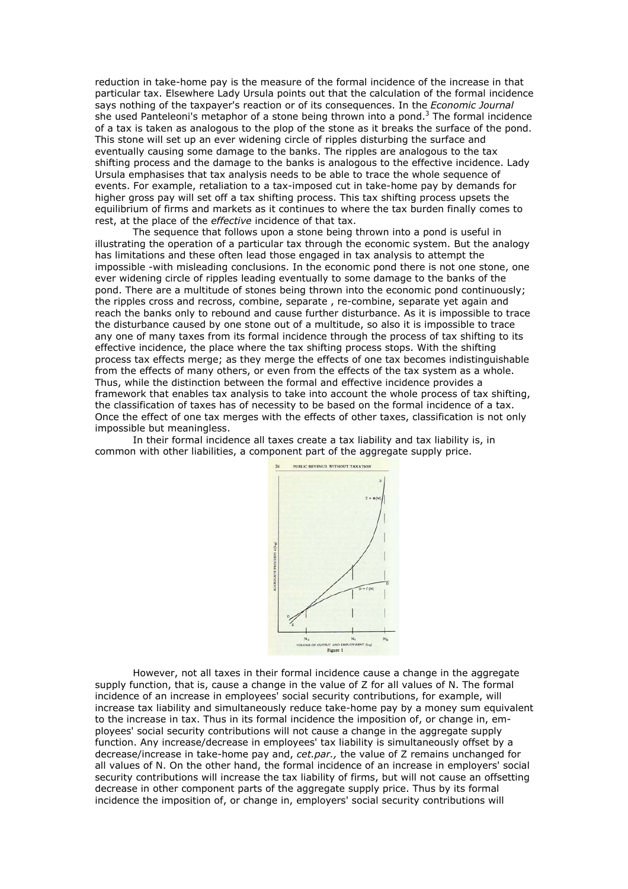reduction in take-home pay is the measure of the formal incidence of the increase in that particular tax. Elsewhere Iady Qrsula points out that the calculation of the formal incidence says nothing of the taxpayer's reaction or of its consequences. In the *Economic Journal* she used Panteleoni's metaphor of a stone being thrown into a pond.<sup>3</sup> The formal incidence of a tax is taken as analogous to the plop of the stone as it breaks the surface of the pond. This stone will set up an ever widening circle of ripples disturbing the surface and eventually causing some damage to the banks. The ripples are analogous to the tax shifting process and the damage to the banks is analogous to the effective incidence. Iady Ursula emphasises that tax analysis needs to be able to trace the whole sequence of events. For example, retaliation to a tax-imposed cut in take-home pay by demands for higher gross pay will set off a tax shifting process. This tax shifting process upsets the equilibrium of firms and markets as it continues to where the tax burden finally comes to rest, at the place of the *effective* incidence of that tax.

The sequence that follows upon a stone being thrown into a pond is useful in illustrating the operation of a particular tax through the economic system. But the analogy has limitations and these often lead those engaged in tax analysis to attempt the impossible -with misleading conclusions. In the economic pond there is not one stone, one ever widening circle of ripples leading eventually to some damage to the banks of the pond. There are a multitude of stones being thrown into the economic pond continuously; the ripples cross and recross, combine, separate , re-combine, separate yet again and reach the banks only to rebound and cause further disturbance. As it is impossible to trace the disturbance caused by one stone out of a multitude, so also it is impossible to trace any one of many taxes from its formal incidence through the process of tax shifting to its effective incidence, the place where the tax shifting process stops. With the shifting process tax effects merge; as they merge the effects of one tax becomes indistinguishable from the effects of many others, or even from the effects of the tax system as a whole. Thus, while the distinction between the formal and effective incidence provides a framework that enables tax analysis to take into account the whole process of tax shifting, the classification of taxes has of necessity to be based on the formal incidence of a tax. Once the effect of one tax merges with the effects of other taxes, classification is not only impossible but meaningless.

In their formal incidence all taxes create a tax liability and tax liability is, in common with other liabilities, a component part of the aggregate supply price.



However, not all taxes in their formal incidence cause a change in the aggregate supply function, that is, cause a change in the value of  $Z$  for all values of N. The formal incidence of an increase in employees' social security contributions, for example, will increase tax liability and simultaneously reduce take-home pay by a money sum equivalent to the increase in tax. Thus in its formal incidence the imposition of, or change in, employees' social security contributions will not cause a change in the aggregate supply function. Any increase/decrease in employees' tax liability is simultaneously offset by a decrease/increase in take-home pay and, *cet.par.*, the value of Z remains unchanged for all values of N. On the other hand, the formal incidence of an increase in employers' social security contributions will increase the tax liability of firms, but will not cause an offsetting decrease in other component parts of the aggregate supply price. Thus by its formal incidence the imposition of, or change in, employers' social security contributions will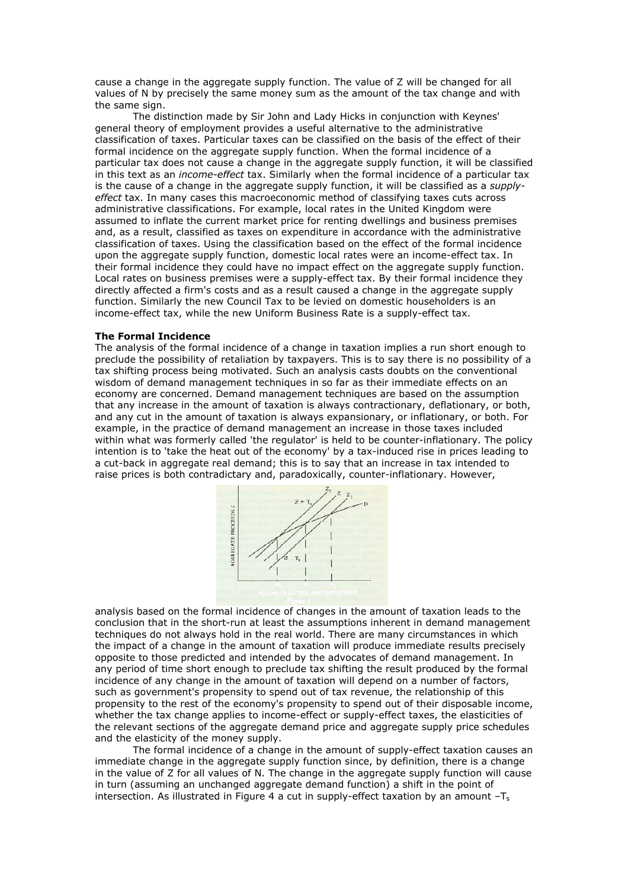cause a change in the aggregate supply function. The value of  $Z$  will be changed for all values of N by precisely the same money sum as the amount of the tax change and with the same sign.

The distinction made by Sir John and Lady Hicks in conjunction with Keynes' general theory of employment provides a useful alternative to the administrative classification of taxes. Particular taxes can be classified on the basis of the effect of their formal incidence on the aggregate supply function. When the formal incidence of a particular tax does not cause a change in the aggregate supply function, it will be classified in this text as an *income-effect* tax. Similarly when the formal incidence of a particular tax is the cause of a change in the aggregate supply function, it will be classified as a *supplyeffect* tax. In many cases this macroeconomic method of classifying taxes cuts across administrative classifications. For example, local rates in the United Kingdom were assumed to inflate the current market price for renting dwellings and business premises and, as a result, classified as taxes on expenditure in accordance with the administrative classification of taxes. Qsing the classification based on the effect of the formal incidence upon the aggregate supply function, domestic local rates were an income-effect tax. In their formal incidence they could have no impact effect on the aggregate supply function. Local rates on business premises were a supply-effect tax. By their formal incidence they directly affected a firm's costs and as a result caused a change in the aggregate supply function. Similarly the new Council Tax to be levied on domestic householders is an income-effect tax, while the new Uniform Business Rate is a supply-effect tax.

## **The Formal Incidence**

The analysis of the formal incidence of a change in taxation implies a run short enough to preclude the possibility of retaliation by taxpayers. This is to say there is no possibility of a tax shifting process being motivated. Such an analysis casts doubts on the conventional wisdom of demand management techniques in so far as their immediate effects on an economy are concerned. Demand management techniques are based on the assumption that any increase in the amount of taxation is always contractionary, deflationary, or both, and any cut in the amount of taxation is always expansionary, or inflationary, or both. For example, in the practice of demand management an increase in those taxes included within what was formerly called 'the regulator' is held to be counter-inflationary. The policy intention is to 'take the heat out of the economy' by a tax-induced rise in prices leading to a cut-back in aggregate real demand; this is to say that an increase in tax intended to raise prices is both contradictary and, paradoxically, counter-inflationary. However,



analysis based on the formal incidence of changes in the amount of taxation leads to the conclusion that in the short-run at least the assumptions inherent in demand management techniques do not always hold in the real world. There are many circumstances in which the impact of a change in the amount of taxation will produce immediate results precisely opposite to those predicted and intended by the advocates of demand management. In any period of time short enough to preclude tax shifting the result produced by the formal incidence of any change in the amount of taxation will depend on a number of factors, such as government's propensity to spend out of tax revenue, the relationship of this propensity to the rest of the economy's propensity to spend out of their disposable income, whether the tax change applies to income-effect or supply-effect taxes, the elasticities of the relevant sections of the aggregate demand price and aggregate supply price schedules and the elasticity of the money supply.

The formal incidence of a change in the amount of supply-effect taxation causes an immediate change in the aggregate supply function since, by definition, there is a change in the value of  $Z$  for all values of N. The change in the aggregate supply function will cause in turn (assuming an unchanged aggregate demand function) a shift in the point of intersection. As illustrated in Figure 4 a cut in supply-effect taxation by an amount  $-T_s$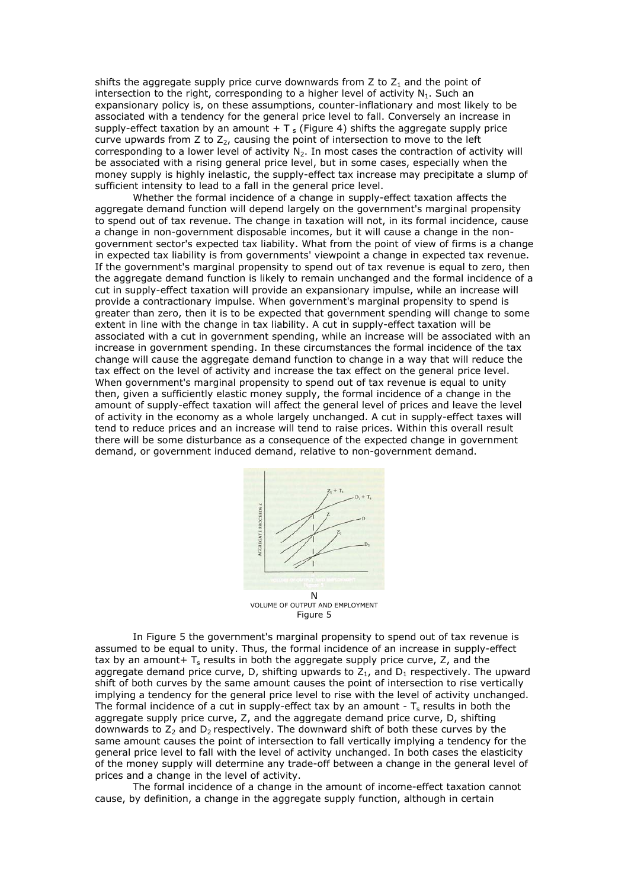shifts the aggregate supply price curve downwards from Z to  $Z_1$  and the point of intersection to the right, corresponding to a higher level of activity  $N_1$ . Such an expansionary policy is, on these assumptions, counter-inflationary and most likely to be associated with a tendency for the general price level to fall. Conversely an increase in supply-effect taxation by an amount  $+ T_s$  (Figure 4) shifts the aggregate supply price curve upwards from Z to  $Z_2$ , causing the point of intersection to move to the left corresponding to a lower level of activity  $N_2$ . In most cases the contraction of activity will be associated with a rising general price level, but in some cases, especially when the money supply is highly inelastic, the supply-effect tax increase may precipitate a slump of sufficient intensity to lead to a fall in the general price level.

Whether the formal incidence of a change in supply-effect taxation affects the aggregate demand function will depend largely on the government's marginal propensity to spend out of tax revenue. The change in taxation will not, in its formal incidence, cause a change in non-government disposable incomes, but it will cause a change in the nongovernment sector's expected tax liability. What from the point of view of firms is a change in expected tax liability is from governments' viewpoint a change in expected tax revenue. If the government's marginal propensity to spend out of tax revenue is equal to zero, then the aggregate demand function is likely to remain unchanged and the formal incidence of a cut in supply-effect taxation will provide an expansionary impulse, while an increase will provide a contractionary impulse. When government's marginal propensity to spend is greater than zero, then it is to be expected that government spending will change to some extent in line with the change in tax liability. A cut in supply-effect taxation will be associated with a cut in government spending, while an increase will be associated with an increase in government spending. In these circumstances the formal incidence of the tax change will cause the aggregate demand function to change in a way that will reduce the tax effect on the level of activity and increase the tax effect on the general price level. When government's marginal propensity to spend out of tax revenue is equal to unity then, given a sufficiently elastic money supply, the formal incidence of a change in the amount of supply-effect taxation will affect the general level of prices and leave the level of activity in the economy as a whole largely unchanged. A cut in supply-effect taxes will tend to reduce prices and an increase will tend to raise prices. Within this overall result there will be some disturbance as a consequence of the expected change in government demand, or government induced demand, relative to non-government demand.



Figure 5

In Figure 5 the government's marginal propensity to spend out of tax revenue is assumed to be equal to unity. Thus, the formal incidence of an increase in supply-effect tax by an amount+  $T_s$  results in both the aggregate supply price curve, Z, and the aggregate demand price curve, D, shifting upwards to  $Z_1$ , and  $D_1$  respectively. The upward shift of both curves by the same amount causes the point of intersection to rise vertically implying a tendency for the general price level to rise with the level of activity unchanged. The formal incidence of a cut in supply-effect tax by an amount -  $T_s$  results in both the aggregate supply price curve, Z, and the aggregate demand price curve, D, shifting downwards to  $Z_2$  and  $D_2$  respectively. The downward shift of both these curves by the same amount causes the point of intersection to fall vertically implying a tendency for the general price level to fall with the level of activity unchanged. In both cases the elasticity of the money supply will determine any trade-off between a change in the general level of prices and a change in the level of activity.

The formal incidence of a change in the amount of income-effect taxation cannot cause, by definition, a change in the aggregate supply function, although in certain